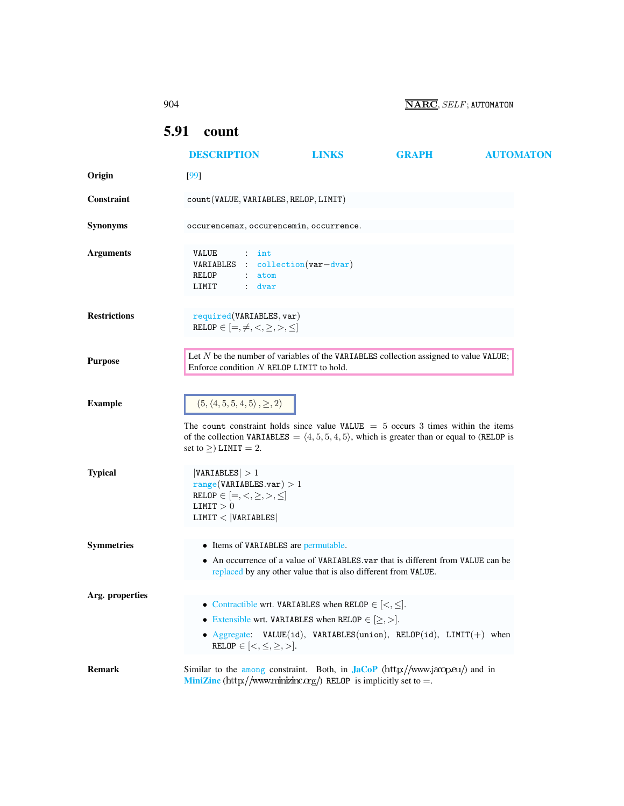<span id="page-0-0"></span>

|                     | 904                                                                                                                                                                                                                                                                              |                                                                                                                                                                                                        | $\overline{\textbf{NARC}}$ , $SELF$ ; AUTOMATON |                  |  |
|---------------------|----------------------------------------------------------------------------------------------------------------------------------------------------------------------------------------------------------------------------------------------------------------------------------|--------------------------------------------------------------------------------------------------------------------------------------------------------------------------------------------------------|-------------------------------------------------|------------------|--|
|                     | 5.91<br>count                                                                                                                                                                                                                                                                    |                                                                                                                                                                                                        |                                                 |                  |  |
|                     | <b>DESCRIPTION</b>                                                                                                                                                                                                                                                               | <b>LINKS</b>                                                                                                                                                                                           | <b>GRAPH</b>                                    | <b>AUTOMATON</b> |  |
| Origin              | $[99]$                                                                                                                                                                                                                                                                           |                                                                                                                                                                                                        |                                                 |                  |  |
| Constraint          | count (VALUE, VARIABLES, RELOP, LIMIT)                                                                                                                                                                                                                                           |                                                                                                                                                                                                        |                                                 |                  |  |
| <b>Synonyms</b>     | occurencemax, occurencemin, occurrence.                                                                                                                                                                                                                                          |                                                                                                                                                                                                        |                                                 |                  |  |
| <b>Arguments</b>    | <b>VALUE</b><br>$:$ int<br>VARIABLES : collection (var-dvar)<br>RELOP<br>atom<br>LIMIT<br>: dvar                                                                                                                                                                                 |                                                                                                                                                                                                        |                                                 |                  |  |
| <b>Restrictions</b> | required(VARIABLES, var)<br>RELOP $\in$ $[=,\neq,<,\geq,>,\leq]$                                                                                                                                                                                                                 |                                                                                                                                                                                                        |                                                 |                  |  |
| <b>Purpose</b>      | Let $N$ be the number of variables of the VARIABLES collection assigned to value VALUE;<br>Enforce condition $N$ RELOP LIMIT to hold.                                                                                                                                            |                                                                                                                                                                                                        |                                                 |                  |  |
| <b>Example</b>      | $(5, \langle 4, 5, 5, 4, 5 \rangle, \geq, 2)$<br>The count constraint holds since value VALUE $=$ 5 occurs 3 times within the items<br>of the collection VARIABLES = $\langle 4, 5, 5, 4, 5 \rangle$ , which is greater than or equal to (RELOP is<br>set to $\geq$ ) LIMIT = 2. |                                                                                                                                                                                                        |                                                 |                  |  |
| <b>Typical</b>      | VARIABLES  > 1<br>range(VARIABLES.var) > 1<br>RELOP $\in$ $[=,<,\geq,>,\leq]$<br>LIMIT > 0<br>LIMIT <  VARIABLES                                                                                                                                                                 |                                                                                                                                                                                                        |                                                 |                  |  |
| <b>Symmetries</b>   | • Items of VARIABLES are permutable.                                                                                                                                                                                                                                             | • An occurrence of a value of VARIABLES var that is different from VALUE can be<br>replaced by any other value that is also different from VALUE.                                                      |                                                 |                  |  |
| Arg. properties     | $\mathtt{RELOP} \in {[<,\leq, \geq, >]}.$                                                                                                                                                                                                                                        | • Contractible wrt. VARIABLES when RELOP $\in$ $\leq$ , $\leq$ .<br>• Extensible wrt. VARIABLES when RELOP $\in \{ \geq, > \}$ .<br>• Aggregate: VALUE(id), VARIABLES(union), RELOP(id), LIMIT(+) when |                                                 |                  |  |
| <b>Remark</b>       | Similar to the among constraint. Both, in $\text{Jac}_P(\text{http://www.jacopeu/})$ and in<br><b>MiniZinc</b> (http://www.minizinc.org/) RELOP is implicitly set to =.                                                                                                          |                                                                                                                                                                                                        |                                                 |                  |  |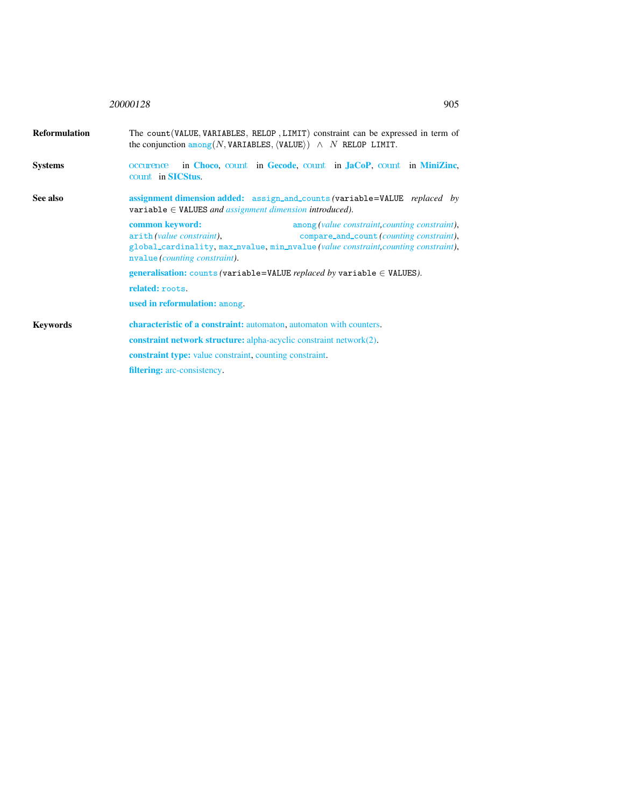## <sup>20000128</sup> 905

<span id="page-1-0"></span>

| <b>Reformulation</b> | The count (VALUE, VARIABLES, RELOP, LIMIT) constraint can be expressed in term of<br>the conjunction $\frac{among(N, VARIABLES, \langle VALUE \rangle)}{\sim N$ RELOP LIMIT.                                                                                      |  |  |  |
|----------------------|-------------------------------------------------------------------------------------------------------------------------------------------------------------------------------------------------------------------------------------------------------------------|--|--|--|
| <b>Systems</b>       | in Choco, count in Gecode, count in JaCoP, count in MiniZinc,<br>occurence<br>count in <b>SICStus</b> .                                                                                                                                                           |  |  |  |
| See also             | assignment dimension added: assign_and_counts (variable=VALUE replaced by<br>variable $\in$ VALUES and assignment dimension introduced).                                                                                                                          |  |  |  |
|                      | common keyword:<br>among (value constraint, counting constraint),<br>arith (value constraint),<br>compare_and_count (counting constraint),<br>global_cardinality, max_nvalue, min_nvalue(value constraint, counting constraint),<br>nvalue (counting constraint). |  |  |  |
|                      | <b>generalisation:</b> counts (variable=VALUE <i>replaced by</i> variable $\in$ VALUES).                                                                                                                                                                          |  |  |  |
|                      | related: roots.                                                                                                                                                                                                                                                   |  |  |  |
|                      | used in reformulation: among.                                                                                                                                                                                                                                     |  |  |  |
| <b>Keywords</b>      | characteristic of a constraint: automaton, automaton with counters.                                                                                                                                                                                               |  |  |  |
|                      | <b>constraint network structure:</b> alpha-acyclic constraint network $(2)$ .                                                                                                                                                                                     |  |  |  |
|                      | <b>constraint type:</b> value constraint, counting constraint.                                                                                                                                                                                                    |  |  |  |
|                      | <b>filtering:</b> arc-consistency.                                                                                                                                                                                                                                |  |  |  |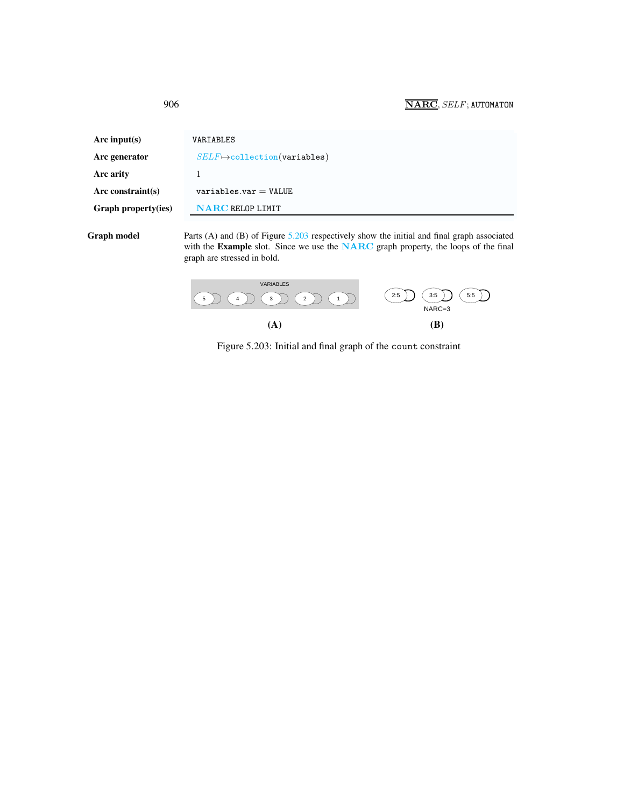| Arc input(s)        | VARIABLES                                                                                    |
|---------------------|----------------------------------------------------------------------------------------------|
| Arc generator       | $SELF \mapsto$ collection(variables)                                                         |
| Arc arity           |                                                                                              |
| Arc constraint(s)   | $variable s.var = VALUE$                                                                     |
| Graph property(ies) | <b>NARC RELOP LIMIT</b>                                                                      |
| Graph model         | Parts (A) and (B) of Figure $5.203$ respectively show the initial and final graph associated |

with the Example slot. Since we use the NARC graph property, the loops of the final graph are stressed in bold.



<span id="page-2-1"></span>Figure 5.203: Initial and final graph of the count constraint

<span id="page-2-0"></span>